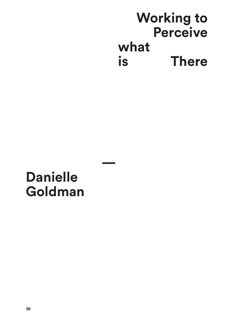## **Working to Perceive what is There**

## **Danielle Goldman**

**—**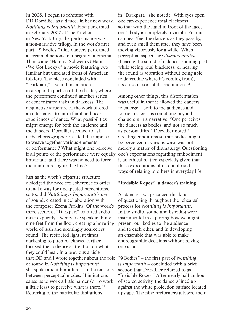In 2006, I began to rehearse with DD Dorvillier as a dancer in her new work, *Nottthing is Importanttt.* First performed in February 2007 at The Kitchen in New York City, the performance was a non-narrative trilogy. In the work's first part, "9 Bodies," nine dancers performed a stream of actions in a brightly lit cinema. Then came "Hamma Schwein G'Habt (We Got Lucky)," a movie featuring two familiar but unrelated icons of American folklore. The piece concluded with "Darkpart," a sound installation in a separate portion of the theater, where the performers continued another series of concentrated tasks in darkness. The disjunctive structure of the work offered an alternative to more familiar, linear experiences of dance. What possibilities might emerge for both the audience and the dancers, Dorvillier seemed to ask, if the choreographer resisted the impulse to weave together various elements of performance? What might one perceive if all points of the performance were equally important, and there was no need to force them into a recognizable line?

Just as the work's tripartite structure dislodged the need for coherence in order to make way for unexpected perceptions, so too did *Nottthing is Importanttt'*s use of sound, created in collaboration with the composer Zeena Parkins. Of the work's three sections, "Darkpart" featured audio most explicitly. Twenty-five speakers hung nine feet from the floor, creating a hovering world of lush and seemingly sourceless sound. The restricted light, at times darkening to pitch blackness, further focused the audience's attention on what they could hear. In a previous article that DD and I wrote together about the role of sound in *Nottthing is Importanttt*, she spoke about her interest in the tensions between perceptual modes. "Limitations cause us to work a little harder (or to work a little less) to perceive what is there."1 Referring to the particular limitations

in "Darkpart," she noted: "With eyes open one can experience total blackness, so that with the hand in front of the face, one's body is completely invisible. Yet one can hear/feel the dancers as they pass by, and even smell them after they have been moving vigorously for a while. When perceptual aspects are *disreferentiated*  (hearing the sound of a dancer running past while seeing total blackness, or hearing the sound as vibration without being able to determine where it's coming from), it's a useful sort of disorientation."2

Among other things, this disorientation was useful in that it allowed the dancers to emerge – both to the audience and to each other – as something beyond characters in a narrative. "One perceives the dancers as bodies, and not so much as personalities," Dorvillier noted.<sup>3</sup> Creating conditions so that bodies might be perceived in various ways was not merely a matter of dramaturgy. Questioning one's expectations regarding embodiment is an ethical matter, especially given that these expectations often entail rigid ways of relating to others in everyday life.

## **"Invisible Ropes": a dancer's training**

As dancers, we practiced this kind of questioning throughout the rehearsal process for *Nottthing is Importanttt*. In the studio, sound and listening were instrumental in exploring how we might present our bodies to the audience and to each other, and in developing an ensemble that was able to make choreographic decisions without relying on vision.

"9 Bodies" – the first part of *Nottthing is Importanttt* – concluded with a brief section that Dorvillier referred to as "Invisible Ropes." After nearly half an hour of scored activity, the dancers lined up against the white projection surface located upstage. The nine performers allowed their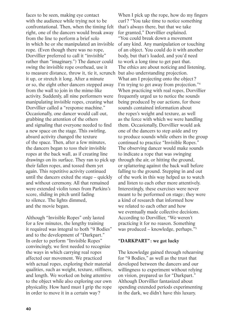faces to be seen, making eye contact with the audience while trying not to be confrontational. Then, when the timing felt right, one of the dancers would break away from the line to perform a brief solo in which he or she manipulated an invisible rope. (Even though there was no rope, Dorvillier preferred to call it "invisible" rather than "imaginary.") The dancer could swing the invisible rope overhead, use it to measure distance, throw it, tie it, scrunch but also understanding projection. it up, or stretch it long. After a minute or so, the eight other dancers stepped away from the wall to join in the mime-like activity. Suddenly, all nine performers were manipulating invisible ropes, creating what Dorvillier called a "response machine." Occasionally, one dancer would call out, grabbing the attention of the others and signaling that everyone needed to find a new space on the stage. This swirling, absurd activity changed the texture of the space. Then, after a few minutes, the dancers began to toss their invisible ropes at the back wall, as if creating line drawings on its surface. They ran to pick up their fallen ropes, and tossed them yet again. This repetitive activity continued until the dancers exited the stage – quickly and without ceremony. All that remained were extended violin tones from Parkins's score, sliding in pitch until fading to silence. The lights dimmed, and the movie began.

Although "Invisible Ropes" only lasted for a few minutes, the lengthy training it required was integral to both "9 Bodies" and to the development of "Darkpart." In order to perform "Invisible Ropes" convincingly, we first needed to recognize the ways in which carrying real ropes affected our movement. We practiced with actual ropes, exploring their material qualities, such as weight, texture, stiffness, and length. We worked on being attentive to the object while also exploring our own physicality. How hard must I grip the rope in order to move it in a certain way?

When I pick up the rope, how do my fingers curl? "You take time to notice something that's always there, but that we take for granted," Dorvillier explained. "You could break down a movement of any kind. Any manipulation or touching of an object. You could do it with another body, but that's loaded, and you'd need to work a long time to get past that. The ethics are about noticing and listening, What am I projecting onto the object? I'm trying to get away from projection."4 When practicing with real ropes, Dorvillier frequently urged us to notice the sounds being produced by our actions, for those sounds contained information about the ropes's weight and texture, as well as the force with which we were handling them. Occasionally, Dorvillier would ask one of the dancers to step aside and try to produce sounds while others in the group continued to practice "Invisible Ropes." The observing dancer would make sounds to indicate a rope that was swinging through the air, or hitting the ground, or splattering against the back wall before falling to the ground. Stepping in and out of the work in this way helped us to watch and listen to each other more attentively. Interestingly, these exercises were never meant to be performed on stage ; they were a kind of research that informed how we related to each other and how we eventually made collective decisions. According to Dorvillier, "We weren't practicing it for no reason. Something was produced – knowledge, perhaps."5

## **"DARKPART": we got lucky**

The knowledge gained through rehearsing for "9 Bodies," as well as the trust that developed between the dancers and our willingness to experiment without relying on vision, prepared us for "Darkpart." Although Dorvillier fantasized about spending extended periods experimenting in the dark, we didn't have this luxury.